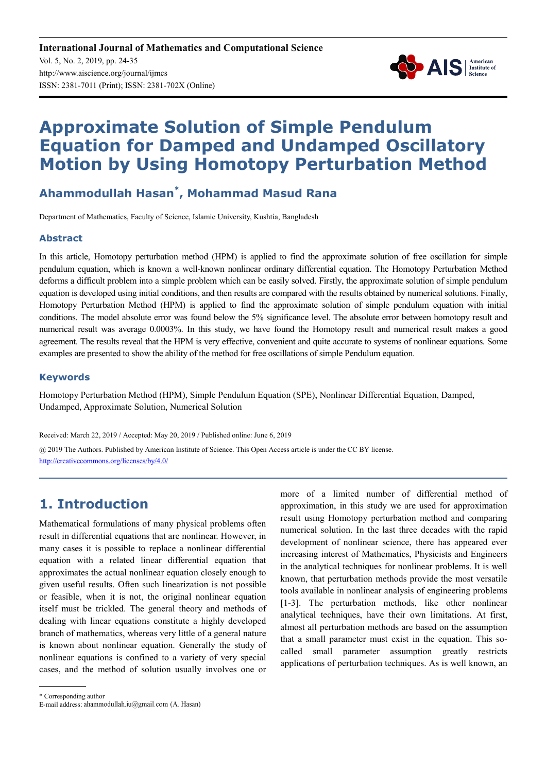

# **Approximate Solution of Simple Pendulum Equation for Damped and Undamped Oscillatory Motion by Using Homotopy Perturbation Method**

# **Ahammodullah Hasan\* , Mohammad Masud Rana**

Department of Mathematics, Faculty of Science, Islamic University, Kushtia, Bangladesh

### **Abstract**

In this article, Homotopy perturbation method (HPM) is applied to find the approximate solution of free oscillation for simple pendulum equation, which is known a well-known nonlinear ordinary differential equation. The Homotopy Perturbation Method deforms a difficult problem into a simple problem which can be easily solved. Firstly, the approximate solution of simple pendulum equation is developed using initial conditions, and then results are compared with the results obtained by numerical solutions. Finally, Homotopy Perturbation Method (HPM) is applied to find the approximate solution of simple pendulum equation with initial conditions. The model absolute error was found below the 5% significance level. The absolute error between homotopy result and numerical result was average 0.0003%. In this study, we have found the Homotopy result and numerical result makes a good agreement. The results reveal that the HPM is very effective, convenient and quite accurate to systems of nonlinear equations. Some examples are presented to show the ability of the method for free oscillations of simple Pendulum equation.

#### **Keywords**

Homotopy Perturbation Method (HPM), Simple Pendulum Equation (SPE), Nonlinear Differential Equation, Damped, Undamped, Approximate Solution, Numerical Solution

Received: March 22, 2019 / Accepted: May 20, 2019 / Published online: June 6, 2019

@ 2019 The Authors. Published by American Institute of Science. This Open Access article is under the CC BY license. http://creativecommons.org/licenses/by/4.0/

# **1. Introduction**

Mathematical formulations of many physical problems often result in differential equations that are nonlinear. However, in many cases it is possible to replace a nonlinear differential equation with a related linear differential equation that approximates the actual nonlinear equation closely enough to given useful results. Often such linearization is not possible or feasible, when it is not, the original nonlinear equation itself must be trickled. The general theory and methods of dealing with linear equations constitute a highly developed branch of mathematics, whereas very little of a general nature is known about nonlinear equation. Generally the study of nonlinear equations is confined to a variety of very special cases, and the method of solution usually involves one or more of a limited number of differential method of approximation, in this study we are used for approximation result using Homotopy perturbation method and comparing numerical solution. In the last three decades with the rapid development of nonlinear science, there has appeared ever increasing interest of Mathematics, Physicists and Engineers in the analytical techniques for nonlinear problems. It is well known, that perturbation methods provide the most versatile tools available in nonlinear analysis of engineering problems [1-3]. The perturbation methods, like other nonlinear analytical techniques, have their own limitations. At first, almost all perturbation methods are based on the assumption that a small parameter must exist in the equation. This socalled small parameter assumption greatly restricts applications of perturbation techniques. As is well known, an

\* Corresponding author

E-mail address: ahammodullah.iu@gmail.com (A. Hasan)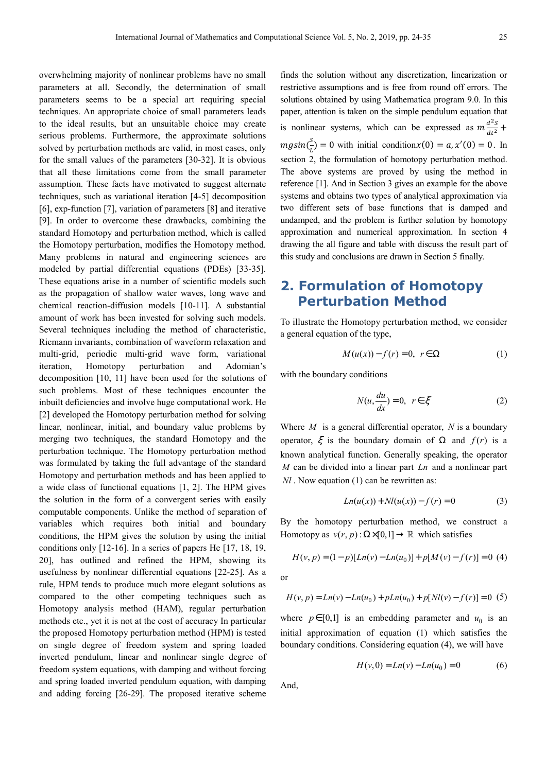overwhelming majority of nonlinear problems have no small parameters at all. Secondly, the determination of small parameters seems to be a special art requiring special techniques. An appropriate choice of small parameters leads to the ideal results, but an unsuitable choice may create serious problems. Furthermore, the approximate solutions solved by perturbation methods are valid, in most cases, only for the small values of the parameters [30-32]. It is obvious that all these limitations come from the small parameter assumption. These facts have motivated to suggest alternate techniques, such as variational iteration [4-5] decomposition [6], exp-function [7], variation of parameters [8] and iterative [9]. In order to overcome these drawbacks, combining the standard Homotopy and perturbation method, which is called the Homotopy perturbation, modifies the Homotopy method. Many problems in natural and engineering sciences are modeled by partial differential equations (PDEs) [33-35]. These equations arise in a number of scientific models such as the propagation of shallow water waves, long wave and chemical reaction-diffusion models [10-11]. A substantial amount of work has been invested for solving such models. Several techniques including the method of characteristic, Riemann invariants, combination of waveform relaxation and multi-grid, periodic multi-grid wave form, variational iteration, Homotopy perturbation and Adomian's decomposition [10, 11] have been used for the solutions of such problems. Most of these techniques encounter the inbuilt deficiencies and involve huge computational work. He [2] developed the Homotopy perturbation method for solving linear, nonlinear, initial, and boundary value problems by merging two techniques, the standard Homotopy and the perturbation technique. The Homotopy perturbation method was formulated by taking the full advantage of the standard Homotopy and perturbation methods and has been applied to a wide class of functional equations [1, 2]. The HPM gives the solution in the form of a convergent series with easily computable components. Unlike the method of separation of variables which requires both initial and boundary conditions, the HPM gives the solution by using the initial conditions only [12-16]. In a series of papers He [17, 18, 19, 20], has outlined and refined the HPM, showing its usefulness by nonlinear differential equations [22-25]. As a rule, HPM tends to produce much more elegant solutions as compared to the other competing techniques such as Homotopy analysis method (HAM), regular perturbation methods etc., yet it is not at the cost of accuracy In particular the proposed Homotopy perturbation method (HPM) is tested on single degree of freedom system and spring loaded inverted pendulum, linear and nonlinear single degree of freedom system equations, with damping and without forcing and spring loaded inverted pendulum equation, with damping and adding forcing [26-29]. The proposed iterative scheme

finds the solution without any discretization, linearization or restrictive assumptions and is free from round off errors. The solutions obtained by using Mathematica program 9.0. In this paper, attention is taken on the simple pendulum equation that is nonlinear systems, which can be expressed as  $m \frac{d^2s}{dt^2}$  $\frac{u}{dt^2}$  +  $mg\sin(\frac{s}{L}) = 0$  with initial condition  $x(0) = a, x'(0) = 0$ . In section 2, the formulation of homotopy perturbation method. The above systems are proved by using the method in reference [1]. And in Section 3 gives an example for the above systems and obtains two types of analytical approximation via two different sets of base functions that is damped and undamped, and the problem is further solution by homotopy approximation and numerical approximation. In section 4 drawing the all figure and table with discuss the result part of this study and conclusions are drawn in Section 5 finally.

# **2. Formulation of Homotopy Perturbation Method**

To illustrate the Homotopy perturbation method, we consider a general equation of the type,

$$
M(u(x)) - f(r) = 0, r \in \Omega
$$
 (1)

with the boundary conditions

$$
N(u, \frac{du}{dx}) = 0, \ \ r \in \xi \tag{2}
$$

Where *M* is a general differential operator, *N* is a boundary operator,  $\xi$  is the boundary domain of  $\Omega$  and  $f(r)$  is a known analytical function. Generally speaking, the operator *M* can be divided into a linear part *Ln* and a nonlinear part *Nl* . Now equation (1) can be rewritten as:

$$
Ln(u(x)) + Nl(u(x)) - f(r) = 0
$$
 (3)

By the homotopy perturbation method, we construct a Homotopy as  $v(r, p)$ :  $\Omega \times [0,1] \rightarrow \mathbb{R}$  which satisfies

$$
H(v, p) = (1-p)[Ln(v) - Ln(u0)] + p[M(v) - f(r)] = 0
$$
 (4)

or

$$
H(v, p) = Ln(v) - Ln(u0) + pLn(u0) + p[Nl(v) - f(r)] = 0
$$
 (5)

where  $p \in [0,1]$  is an embedding parameter and  $u_0$  is an initial approximation of equation (1) which satisfies the boundary conditions. Considering equation (4), we will have

$$
H(v,0) = Ln(v) - Ln(u0) = 0
$$
 (6)

And,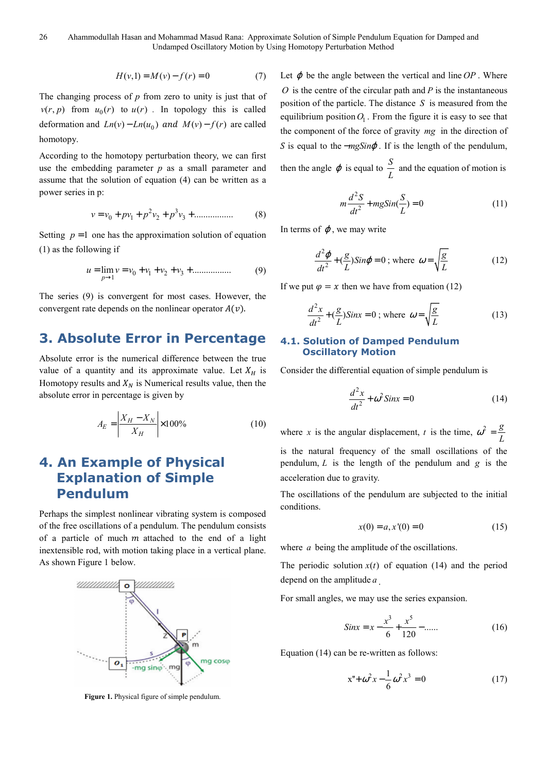$$
H(v,1) = M(v) - f(r) = 0 \tag{7}
$$

The changing process of *p* from zero to unity is just that of  $v(r, p)$  from  $u_0(r)$  to  $u(r)$ . In topology this is called deformation and  $Ln(v) - Ln(u_0)$  and  $M(v) - f(r)$  are called homotopy.

According to the homotopy perturbation theory, we can first use the embedding parameter *p* as a small parameter and assume that the solution of equation (4) can be written as a power series in p:

$$
v = v_0 + pv_1 + p^2 v_2 + p^3 v_3 + \dots \tag{8}
$$

Setting  $p = 1$  one has the approximation solution of equation (1) as the following if

$$
u = \lim_{p \to 1} v = v_0 + v_1 + v_2 + v_3 + \dots \tag{9}
$$

The series (9) is convergent for most cases. However, the convergent rate depends on the nonlinear operator  $A(v)$ .

# **3. Absolute Error in Percentage**

Absolute error is the numerical difference between the true value of a quantity and its approximate value. Let  $X_H$  is Homotopy results and  $X_N$  is Numerical results value, then the absolute error in percentage is given by

$$
A_E = \left| \frac{X_H - X_N}{X_H} \right| \times 100\% \tag{10}
$$

# **4. An Example of Physical Explanation of Simple Pendulum**

Perhaps the simplest nonlinear vibrating system is composed of the free oscillations of a pendulum. The pendulum consists of a particle of much  $m$  attached to the end of a light inextensible rod, with motion taking place in a vertical plane. As shown Figure 1 below.



**Figure 1.** Physical figure of simple pendulum.

Let  $\varphi$  be the angle between the vertical and line  $OP$ . Where *O* is the centre of the circular path and *P* is the instantaneous position of the particle. The distance *S* is measured from the equilibrium position  $O_1$ . From the figure it is easy to see that the component of the force of gravity *mg* in the direction of S is equal to the −*mgSin* $\varphi$ . If is the length of the pendulum, then the angle  $\varphi$  is equal to  $\frac{S}{L}$  and the equation of motion is

$$
m\frac{d^2S}{dt^2} + mgSin(\frac{S}{L}) = 0
$$
\n(11)

In terms of  $\varphi$ , we may write

$$
\frac{d^2\varphi}{dt^2} + \left(\frac{g}{L}\right) \text{Sin}\varphi = 0 \; ; \text{ where } \; \omega = \sqrt{\frac{g}{L}} \tag{12}
$$

If we put  $\varphi = x$  then we have from equation (12)

$$
\frac{d^2x}{dt^2} + \left(\frac{g}{L}\right)Sinx = 0 \text{ ; where } \omega = \sqrt{\frac{g}{L}}
$$
 (13)

#### **4.1. Solution of Damped Pendulum Oscillatory Motion**

Consider the differential equation of simple pendulum is

$$
\frac{d^2x}{dt^2} + \omega^2 \sin x = 0 \tag{14}
$$

where *x* is the angular displacement, *t* is the time,  $\omega^2 = \frac{g}{f}$ *L* is the natural frequency of the small oscillations of the pendulum, *L* is the length of the pendulum and *g* is the acceleration due to gravity.

The oscillations of the pendulum are subjected to the initial conditions.

$$
x(0) = a, x'(0) = 0 \tag{15}
$$

where *a* being the amplitude of the oscillations.

The periodic solution  $x(t)$  of equation (14) and the period depend on the amplitude *a* .

For small angles, we may use the series expansion.

$$
Sinx = x - \frac{x^3}{6} + \frac{x^5}{120} - \dots
$$
 (16)

Equation (14) can be re-written as follows:

$$
x'' + \omega^2 x - \frac{1}{6} \omega^2 x^3 = 0 \tag{17}
$$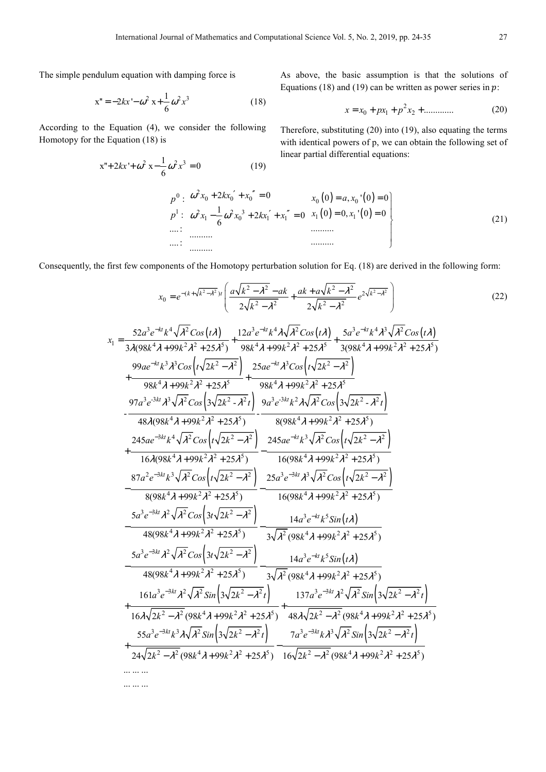The simple pendulum equation with damping force is

... ... ...

$$
x'' = -2kx' - \omega^2 x + \frac{1}{6}\omega^2 x^3
$$
 (18)

According to the Equation (4), we consider the following Homotopy for the Equation (18) is

$$
x'' + 2kx' + \omega^2 x - \frac{1}{6}\omega^2 x^3 = 0
$$
 (19)

As above, the basic assumption is that the solutions of Equations (18) and (19) can be written as power series in  $p$ :

$$
x = x_0 + px_1 + p^2 x_2 + \dots \tag{20}
$$

Therefore, substituting (20) into (19), also equating the terms with identical powers of p, we can obtain the following set of linear partial differential equations:

0 1 : : ....: ....: *p p* 2 0 0 0 2 2 3 1 0 1 1 2 0 1 2 0 6 .......... .......... *x kx x x x kx x* + + = ′ ′′ − + + = ′ ′′ ω <sup>ω</sup> <sup>ω</sup> ( ) ( ) ( ) ( ) 0 0 1 1 0 , ' 0 0 0 0, ' 0 0 .......... .......... *x a x x x* = = = = (21)

Consequently, the first few components of the Homotopy perturbation solution for Eq. (18) are derived in the following form:

$$
x_{0} = e^{-(k+\sqrt{k^{2}-\lambda^{2}})} \left( \frac{a\sqrt{k^{2}-\lambda^{2}}}{2\sqrt{k^{2}-\lambda^{2}}} - \frac{ak}{2\sqrt{k^{2}-\lambda^{2}}} e^{2\sqrt{k^{2}-\lambda^{2}}} \right)
$$
\n
$$
x_{1} = \frac{52a^{3}e^{-kt}k^{4}\sqrt{\lambda^{2}}\cos(t\lambda)}{3\lambda(98k^{4}\lambda+99k^{2}\lambda^{2}+25\lambda^{5})} + \frac{12a^{3}e^{-kt}k^{4}\lambda\sqrt{\lambda^{2}}\cos(t\lambda)}{98k^{4}\lambda+99k^{2}\lambda^{2}+25\lambda^{5}} - \frac{98k^{4}\lambda+99k^{2}\lambda^{2}+25\lambda^{5}}{98k^{4}\lambda+99k^{2}\lambda^{2}+25\lambda^{5}} - \frac{99ae^{-kt}\lambda^{3}\lambda^{3}\cos(\sqrt{2k^{2}-\lambda^{2}})}{98k^{4}\lambda+99k^{2}\lambda^{2}+25\lambda^{5}} + \frac{98a^{4}\lambda+99k^{2}\lambda^{2}+25\lambda^{5}}{98k^{4}\lambda+99k^{2}\lambda^{2}+25\lambda^{5}}
$$
\n
$$
= \frac{97a^{3}e^{-3kt}\lambda^{3}\sqrt{\lambda^{2}}\cos(\sqrt{2k^{2}-\lambda^{2}})}{98k^{4}\lambda+99k^{2}\lambda^{2}+25\lambda^{5}} - \frac{98a^{3}e^{3kt}\lambda^{2}\lambda\sqrt{\lambda^{2}}\cos(\sqrt{2k^{2}-\lambda^{2}})}{98k^{4}\lambda+99k^{2}\lambda^{2}+25\lambda^{5}}
$$
\n
$$
= \frac{97a^{3}e^{-3kt}\lambda^{3}\sqrt{\lambda^{2}}\cos(\sqrt{2k^{2}-\lambda^{2}})}{48\lambda(98k^{4}\lambda+99k^{2}\lambda^{2}+25\lambda^{5})} - \frac{9a^{3}e^{-3kt}\lambda^{3}\sqrt{\lambda^{2}}\cos(\sqrt{3k^{2}-\lambda^{2}})}{8(98k^{4}\lambda+99k^{2}\lambda^{2}+25\lambda^{5})}
$$
\n
$$
= \frac{25a^{3}e^{-3kt}\lambda^{3}\sqrt{\lambda^{2}}\cos(\sqrt{2k^{2}-\lambda^{2}})}{8(98k^{4}\lambda+99k
$$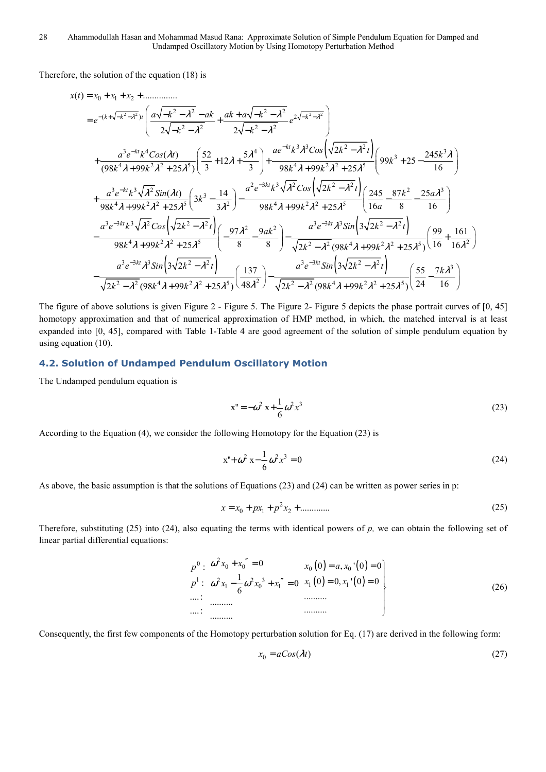Therefore, the solution of the equation (18) is

( ) 2 2 2 2 0 1 2 2 2 2 2 ( ) 2 2 2 2 2 3 3 2 2 3 4 4 3 3 4 2 2 5 4 2 2 5 ( ) ............... 2 2 2 ( ) 52 5 <sup>245</sup> <sup>12</sup> 99 25 (98 99 25 ) 98 99 25 3 3 *k k t k kt kt x t x x x a k ak ak a k e e k k ae k Cos k t a e k Cos t <sup>k</sup> k k k k k* <sup>λ</sup> λ λ <sup>λ</sup> λ λ λ λ λ λ λ λ λ λ λ λ λ λ − + − − − − − − = + + + − − − + − − = + − − − − − + + + + + − + + + + ( ) ( ) 2 3 3 2 2 2 3 3 2 2 3 3 4 2 2 5 2 4 2 2 5 3 3 3 2 2 2 3 3 3 2 2 4 2 2 5 16 2 ( ) 14 245 87 25 <sup>3</sup> 98 99 25 3 98 99 25 16 8 16 2 3 97 9 98 99 25 8 8 *kt kt kt kt a e k Cos k t a e k Sin t k a <sup>k</sup> k k k k a a e k Cos k t a e Sin ak k k* λ λ λ λ λ λ λ λ λ λ λ λ λ λ λ λ λ λ λ − − − − <sup>−</sup> + − − − − + + + + − − − − − + + ( ) ( ) ( ) 2 2 2 2 2 4 2 2 5 3 3 3 2 2 3 3 2 2 3 2 2 2 4 2 2 5 2 2 4 2 2 5 2 99 161 2 (98 99 25 ) 16 16 3 2 3 2 <sup>137</sup> 55 7 48 24 16 2 (98 99 25 ) 2 (98 99 25 ) *kt kt k t k k k a e Sin k t a e Sin k t <sup>k</sup> k k k k k k* λ <sup>λ</sup> <sup>λ</sup> <sup>λ</sup> <sup>λ</sup> <sup>λ</sup> λ λ λ λ <sup>λ</sup> <sup>λ</sup> <sup>λ</sup> <sup>λ</sup> <sup>λ</sup> <sup>λ</sup> <sup>λ</sup> <sup>λ</sup> <sup>λ</sup> − − − + − + + <sup>−</sup> <sup>−</sup> − − − − + + − + +

The figure of above solutions is given Figure 2 - Figure 5. The Figure 2- Figure 5 depicts the phase portrait curves of [0, 45] homotopy approximation and that of numerical approximation of HMP method, in which, the matched interval is at least expanded into [0, 45], compared with Table 1-Table 4 are good agreement of the solution of simple pendulum equation by using equation (10).

#### **4.2. Solution of Undamped Pendulum Oscillatory Motion**

The Undamped pendulum equation is

$$
x'' = -\omega^2 x + \frac{1}{6}\omega^2 x^3
$$
 (23)

According to the Equation (4), we consider the following Homotopy for the Equation (23) is

$$
x'' + \omega^2 x - \frac{1}{6} \omega^2 x^3 = 0
$$
 (24)

As above, the basic assumption is that the solutions of Equations (23) and (24) can be written as power series in p:

$$
x = x_0 + px_1 + p^2 x_2 + \dots \tag{25}
$$

Therefore, substituting (25) into (24), also equating the terms with identical powers of *p,* we can obtain the following set of linear partial differential equations:

0 1 : : ....: ....: *p p* 2 0 0 2 2 3 1 0 1 0 1 0 6 .......... .......... *x x x x x* + = ′′ − + = ′′ ω <sup>ω</sup> <sup>ω</sup> ( ) ( ) ( ) ( ) 0 0 1 1 0 , ' 0 0 0 0, ' 0 0 .......... .......... *x a x x x* = = = = (26)

Consequently, the first few components of the Homotopy perturbation solution for Eq. (17) are derived in the following form:

$$
x_0 = a\cos(\lambda t) \tag{27}
$$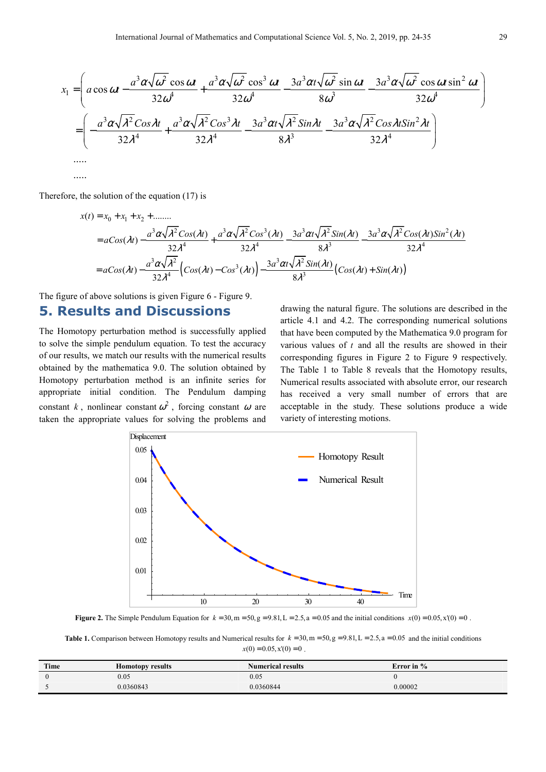$$
x_1 = \left( a \cos \omega t - \frac{a^3 \alpha \sqrt{\omega^2} \cos \omega t}{32 \omega^4} + \frac{a^3 \alpha \sqrt{\omega^2} \cos^3 \omega t}{32 \omega^4} - \frac{3a^3 \alpha \sqrt{\omega^2} \sin \omega t}{8 \omega^3} - \frac{3a^3 \alpha \sqrt{\omega^2} \cos \omega t \sin^2 \omega t}{32 \omega^4} \right)
$$
  
= 
$$
\left( -\frac{a^3 \alpha \sqrt{\lambda^2} \cos \lambda t}{32 \lambda^4} + \frac{a^3 \alpha \sqrt{\lambda^2} \cos^3 \lambda t}{32 \lambda^4} - \frac{3a^3 \alpha \sqrt{\lambda^2} \sin \lambda t}{8 \lambda^3} - \frac{3a^3 \alpha \sqrt{\lambda^2} \cos \lambda t \sin^2 \lambda t}{32 \lambda^4} \right)
$$
  
......

Therefore, the solution of the equation (17) is

.....

$$
x(t) = x_0 + x_1 + x_2 + \dots
$$
  
=  $aCos(\lambda t) - \frac{a^3 \alpha \sqrt{\lambda^2} Cos(\lambda t)}{32 \lambda^4} + \frac{a^3 \alpha \sqrt{\lambda^2} Cos^3(\lambda t)}{32 \lambda^4} - \frac{3a^3 \alpha \sqrt{\lambda^2} Sin(\lambda t)}{8 \lambda^3} - \frac{3a^3 \alpha \sqrt{\lambda^2} Cos(\lambda t)Sin^2(\lambda t)}{32 \lambda^4}$   
=  $aCos(\lambda t) - \frac{a^3 \alpha \sqrt{\lambda^2}}{32 \lambda^4} (Cos(\lambda t) - Cos^3(\lambda t)) - \frac{3a^3 \alpha \sqrt{\lambda^2} Sin(\lambda t)}{8 \lambda^3} (Cos(\lambda t) + Sin(\lambda t))$ 

The figure of above solutions is given Figure 6 - Figure 9.

### **5. Results and Discussions**

The Homotopy perturbation method is successfully applied to solve the simple pendulum equation. To test the accuracy of our results, we match our results with the numerical results obtained by the mathematica 9.0. The solution obtained by Homotopy perturbation method is an infinite series for appropriate initial condition. The Pendulum damping constant *k*, nonlinear constant  $\omega^2$ , forcing constant  $\omega$  are taken the appropriate values for solving the problems and

drawing the natural figure. The solutions are described in the article 4.1 and 4.2. The corresponding numerical solutions that have been computed by the Mathematica 9.0 program for various values of *t* and all the results are showed in their corresponding figures in Figure 2 to Figure 9 respectively. The Table 1 to Table 8 reveals that the Homotopy results, Numerical results associated with absolute error, our research has received a very small number of errors that are acceptable in the study. These solutions produce a wide variety of interesting motions.



**Figure 2.** The Simple Pendulum Equation for  $k = 30$ , m =  $50$ , g =  $9.81$ , L =  $2.5$ , a = 0.05 and the initial conditions  $x(0) = 0.05$ ,  $x'(0) = 0$ .

**Table 1.** Comparison between Homotopy results and Numerical results for  $k = 30$ ,  $m = 50$ ,  $g = 9.81$ ,  $L = 2.5$ ,  $a = 0.05$  and the initial conditions  $x(0) = 0.05, x'(0) = 0$ 

| Time | <b>Homotopy results</b> | <b>Numerical results</b> | Error in $%$ |
|------|-------------------------|--------------------------|--------------|
|      | 0.05                    | 0.05                     |              |
|      | 0.0360843               | 0.0360844                | 0.00002      |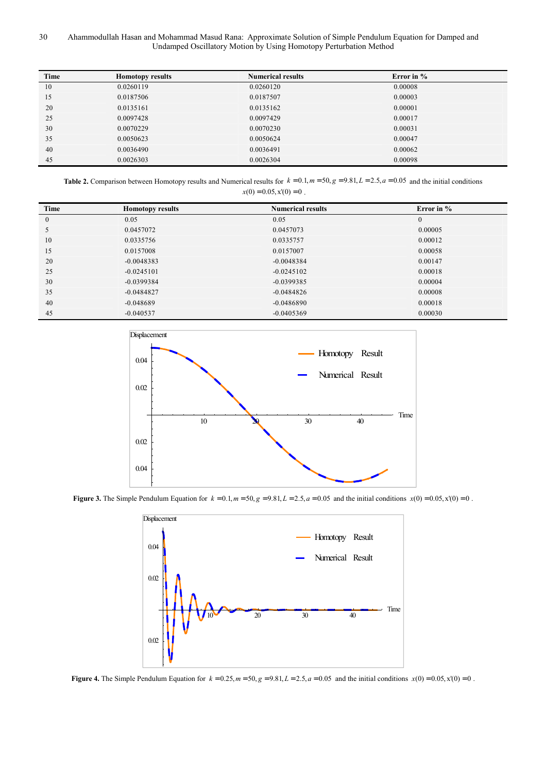30 Ahammodullah Hasan and Mohammad Masud Rana: Approximate Solution of Simple Pendulum Equation for Damped and Undamped Oscillatory Motion by Using Homotopy Perturbation Method

| Time | <b>Homotopy results</b> | <b>Numerical results</b> | Error in % |
|------|-------------------------|--------------------------|------------|
| 10   | 0.0260119               | 0.0260120                | 0.00008    |
| 15   | 0.0187506               | 0.0187507                | 0.00003    |
| 20   | 0.0135161               | 0.0135162                | 0.00001    |
| 25   | 0.0097428               | 0.0097429                | 0.00017    |
| 30   | 0.0070229               | 0.0070230                | 0.00031    |
| 35   | 0.0050623               | 0.0050624                | 0.00047    |
| 40   | 0.0036490               | 0.0036491                | 0.00062    |
| 45   | 0.0026303               | 0.0026304                | 0.00098    |

**Table 2.** Comparison between Homotopy results and Numerical results for  $k = 0.1$ ,  $m = 50$ ,  $g = 9.81$ ,  $L = 2.5$ ,  $a = 0.05$  and the initial conditions  $x(0) = 0.05, x'(0) = 0$ .

| Time           | <b>Homotopy results</b> | <b>Numerical results</b> | Error in $%$ |
|----------------|-------------------------|--------------------------|--------------|
| $\overline{0}$ | 0.05                    | 0.05                     | $\Omega$     |
| $\mathcal{L}$  | 0.0457072               | 0.0457073                | 0.00005      |
| 10             | 0.0335756               | 0.0335757                | 0.00012      |
| 15             | 0.0157008               | 0.0157007                | 0.00058      |
| 20             | $-0.0048383$            | $-0.0048384$             | 0.00147      |
| 25             | $-0.0245101$            | $-0.0245102$             | 0.00018      |
| 30             | $-0.0399384$            | $-0.0399385$             | 0.00004      |
| 35             | $-0.0484827$            | $-0.0484826$             | 0.00008      |
| 40             | $-0.048689$             | $-0.0486890$             | 0.00018      |
| 45             | $-0.040537$             | $-0.0405369$             | 0.00030      |



**Figure 3.** The Simple Pendulum Equation for  $k = 0.1, m = 50, g = 9.81, L = 2.5, a = 0.05$  and the initial conditions  $x(0) = 0.05, x'(0) = 0$ .



**Figure 4.** The Simple Pendulum Equation for  $k = 0.25$ ,  $m = 50$ ,  $g = 9.81$ ,  $L = 2.5$ ,  $a = 0.05$  and the initial conditions  $x(0) = 0.05$ ,  $x'(0) = 0$ .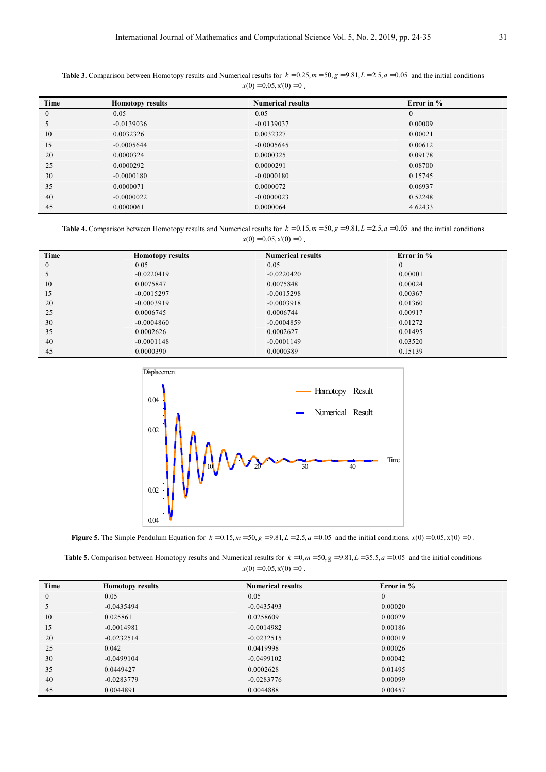| Time         | <b>Homotopy results</b> | <b>Numerical results</b> | Error in $\%$ |  |
|--------------|-------------------------|--------------------------|---------------|--|
| $\mathbf{0}$ | 0.05                    | 0.05                     | $\mathbf{0}$  |  |
| 5            | $-0.0139036$            | $-0.0139037$             | 0.00009       |  |
| 10           | 0.0032326               | 0.0032327                | 0.00021       |  |
| 15           | $-0.0005644$            | $-0.0005645$             | 0.00612       |  |
| 20           | 0.0000324               | 0.0000325                | 0.09178       |  |
| 25           | 0.0000292               | 0.0000291                | 0.08700       |  |
| 30           | $-0.0000180$            | $-0.0000180$             | 0.15745       |  |
| 35           | 0.0000071               | 0.0000072                | 0.06937       |  |
| 40           | $-0.0000022$            | $-0.0000023$             | 0.52248       |  |
| 45           | 0.0000061               | 0.0000064                | 4.62433       |  |

**Table 3.** Comparison between Homotopy results and Numerical results for  $k = 0.25$ ,  $m = 50$ ,  $g = 9.81$ ,  $L = 2.5$ ,  $a = 0.05$  and the initial conditions  $x(0) = 0.05, x'(0) = 0$ .

**Table 4.** Comparison between Homotopy results and Numerical results for  $k = 0.15$ ,  $m = 50$ ,  $g = 9.81$ ,  $L = 2.5$ ,  $a = 0.05$  and the initial conditions  $x(0) = 0.05$ ,  $x'(0) = 0$ .

| Time           | <b>Homotopy results</b> | <b>Numerical results</b> | Error in $%$ |  |
|----------------|-------------------------|--------------------------|--------------|--|
| $\overline{0}$ | 0.05                    | 0.05                     | $\mathbf{0}$ |  |
| ς              | $-0.0220419$            | $-0.0220420$             | 0.00001      |  |
| 10             | 0.0075847               | 0.0075848                | 0.00024      |  |
| 15             | $-0.0015297$            | $-0.0015298$             | 0.00367      |  |
| 20             | $-0.0003919$            | $-0.0003918$             | 0.01360      |  |
| 25             | 0.0006745               | 0.0006744                | 0.00917      |  |
| 30             | $-0.0004860$            | $-0.0004859$             | 0.01272      |  |
| 35             | 0.0002626               | 0.0002627                | 0.01495      |  |
| 40             | $-0.0001148$            | $-0.0001149$             | 0.03520      |  |
| 45             | 0.0000390               | 0.0000389                | 0.15139      |  |



**Figure 5.** The Simple Pendulum Equation for  $k = 0.15$ ,  $m = 50$ ,  $g = 9.81$ ,  $L = 2.5$ ,  $a = 0.05$  and the initial conditions.  $x(0) = 0.05$ ,  $x'(0) = 0$ .

**Table 5.** Comparison between Homotopy results and Numerical results for  $k = 0$ ,  $m = 50$ ,  $g = 9.81$ ,  $L = 35.5$ ,  $a = 0.05$  and the initial conditions  $x(0) = 0.05$ ,  $x'(0) = 0$ .

| Time         | <b>Homotopy results</b> | <b>Numerical results</b> | Error in $%$ |
|--------------|-------------------------|--------------------------|--------------|
| $\mathbf{0}$ | 0.05                    | 0.05                     | $\theta$     |
| 5            | $-0.0435494$            | $-0.0435493$             | 0.00020      |
| 10           | 0.025861                | 0.0258609                | 0.00029      |
| 15           | $-0.0014981$            | $-0.0014982$             | 0.00186      |
| 20           | $-0.0232514$            | $-0.0232515$             | 0.00019      |
| 25           | 0.042                   | 0.0419998                | 0.00026      |
| 30           | $-0.0499104$            | $-0.0499102$             | 0.00042      |
| 35           | 0.0449427               | 0.0002628                | 0.01495      |
| 40           | $-0.0283779$            | $-0.0283776$             | 0.00099      |
| 45           | 0.0044891               | 0.0044888                | 0.00457      |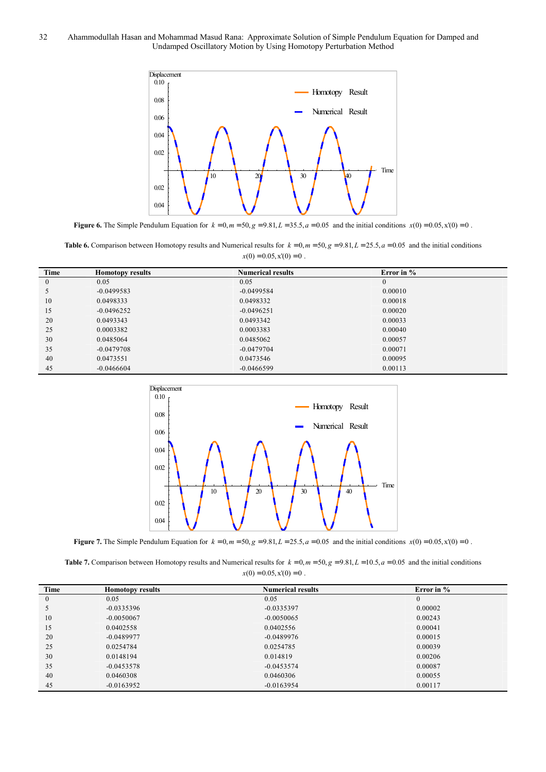

**Figure 6.** The Simple Pendulum Equation for  $k = 0, m = 50, g = 9.81, L = 35.5, a = 0.05$  and the initial conditions  $x(0) = 0.05, x'(0) = 0$ .

**Table 6.** Comparison between Homotopy results and Numerical results for  $k = 0, m = 50, g = 9.81, L = 25.5, a = 0.05$  and the initial conditions  $x(0) = 0.05, x'(0) = 0$ .

| Time          | <b>Homotopy results</b> | <b>Numerical results</b> | Error in $%$ |
|---------------|-------------------------|--------------------------|--------------|
| $\mathbf{0}$  | 0.05                    | 0.05                     | 0            |
| $\mathcal{D}$ | $-0.0499583$            | $-0.0499584$             | 0.00010      |
| 10            | 0.0498333               | 0.0498332                | 0.00018      |
| 15            | $-0.0496252$            | $-0.0496251$             | 0.00020      |
| 20            | 0.0493343               | 0.0493342                | 0.00033      |
| 25            | 0.0003382               | 0.0003383                | 0.00040      |
| 30            | 0.0485064               | 0.0485062                | 0.00057      |
| 35            | $-0.0479708$            | $-0.0479704$             | 0.00071      |
| 40            | 0.0473551               | 0.0473546                | 0.00095      |
| 45            | $-0.0466604$            | $-0.0466599$             | 0.00113      |



**Figure 7.** The Simple Pendulum Equation for  $k = 0, m = 50, g = 9.81, L = 25.5, a = 0.05$  and the initial conditions  $x(0) = 0.05, x'(0) = 0$ .

**Table 7.** Comparison between Homotopy results and Numerical results for  $k = 0$ ,  $m = 50$ ,  $g = 9.81$ ,  $L = 10.5$ ,  $a = 0.05$  and the initial conditions  $x(0) = 0.05, x'(0) = 0$ .

| Time          | <b>Homotopy results</b> | <b>Numerical results</b> | Error in %   |
|---------------|-------------------------|--------------------------|--------------|
| $\mathbf{0}$  | 0.05                    | 0.05                     | $\mathbf{0}$ |
| $\mathcal{D}$ | $-0.0335396$            | $-0.0335397$             | 0.00002      |
| 10            | $-0.0050067$            | $-0.0050065$             | 0.00243      |
| 15            | 0.0402558               | 0.0402556                | 0.00041      |
| 20            | $-0.0489977$            | $-0.0489976$             | 0.00015      |
| 25            | 0.0254784               | 0.0254785                | 0.00039      |
| 30            | 0.0148194               | 0.014819                 | 0.00206      |
| 35            | $-0.0453578$            | $-0.0453574$             | 0.00087      |
| 40            | 0.0460308               | 0.0460306                | 0.00055      |
| 45            | $-0.0163952$            | $-0.0163954$             | 0.00117      |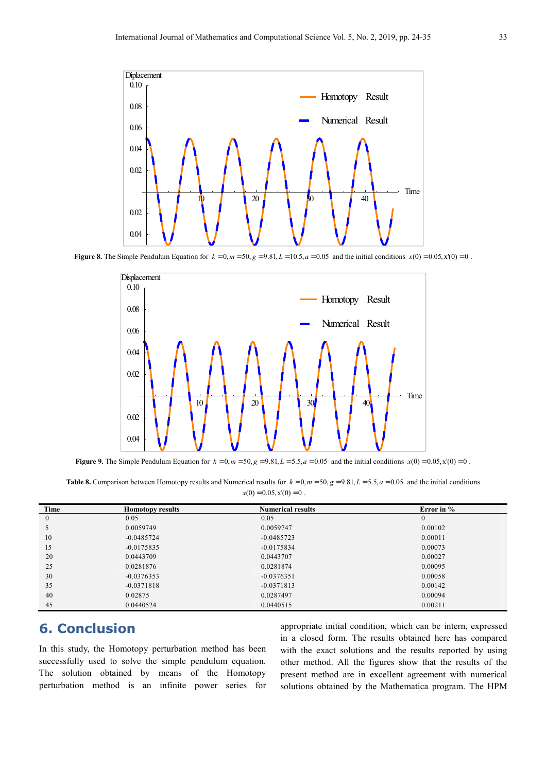

**Figure 8.** The Simple Pendulum Equation for  $k = 0, m = 50, g = 9.81, L = 10.5, a = 0.05$  and the initial conditions  $x(0) = 0.05, x'(0) = 0$ .



**Figure 9.** The Simple Pendulum Equation for  $k = 0, m = 50, g = 9.81, L = 5.5, a = 0.05$  and the initial conditions  $x(0) = 0.05, x'(0) = 0$ .

**Table 8.** Comparison between Homotopy results and Numerical results for  $k = 0, m = 50, g = 9.81, L = 5.5, a = 0.05$  and the initial conditions  $x(0) = 0.05, x'(0) = 0$ .

| Time         | <b>Homotopy results</b> | <b>Numerical results</b> | Error in %   |
|--------------|-------------------------|--------------------------|--------------|
| $\mathbf{0}$ | 0.05                    | 0.05                     | $\mathbf{0}$ |
|              | 0.0059749               | 0.0059747                | 0.00102      |
| 10           | $-0.0485724$            | $-0.0485723$             | 0.00011      |
| 15           | $-0.0175835$            | $-0.0175834$             | 0.00073      |
| 20           | 0.0443709               | 0.0443707                | 0.00027      |
| 25           | 0.0281876               | 0.0281874                | 0.00095      |
| 30           | $-0.0376353$            | $-0.0376351$             | 0.00058      |
| 35           | $-0.0371818$            | $-0.0371813$             | 0.00142      |
| 40           | 0.02875                 | 0.0287497                | 0.00094      |
| 45           | 0.0440524               | 0.0440515                | 0.00211      |

# **6. Conclusion**

In this study, the Homotopy perturbation method has been successfully used to solve the simple pendulum equation. The solution obtained by means of the Homotopy perturbation method is an infinite power series for appropriate initial condition, which can be intern, expressed in a closed form. The results obtained here has compared with the exact solutions and the results reported by using other method. All the figures show that the results of the present method are in excellent agreement with numerical solutions obtained by the Mathematica program. The HPM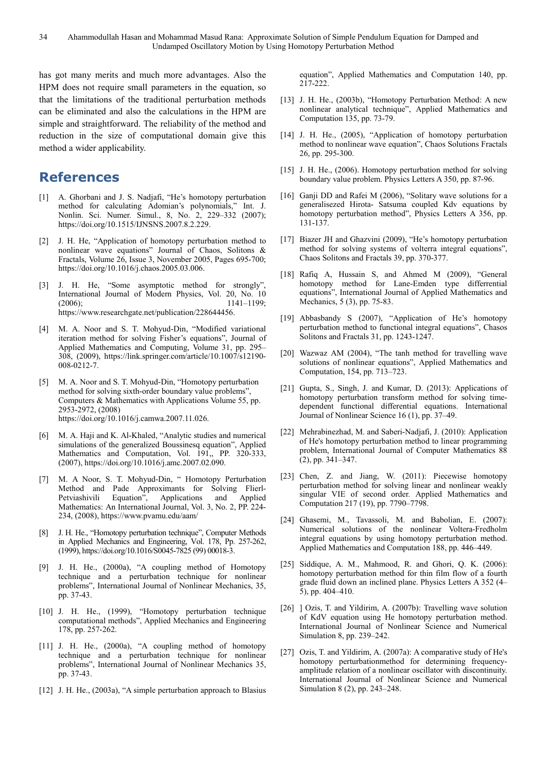has got many merits and much more advantages. Also the HPM does not require small parameters in the equation, so that the limitations of the traditional perturbation methods can be eliminated and also the calculations in the HPM are simple and straightforward. The reliability of the method and reduction in the size of computational domain give this method a wider applicability.

# **References**

- [1] A. Ghorbani and J. S. Nadjafi, "He's homotopy perturbation method for calculating Adomian's polynomials," Int. J. Nonlin. Sci. Numer. Simul., 8, No. 2, 229–332 (2007); https://doi.org/10.1515/IJNSNS.2007.8.2.229.
- [2] J. H. He, "Application of homotopy perturbation method to nonlinear wave equations" Journal of Chaos, Solitons & Fractals, Volume 26, Issue 3, November 2005, Pages 695-700; https://doi.org/10.1016/j.chaos.2005.03.006.
- [3] J. H. He, "Some asymptotic method for strongly", International Journal of Modern Physics, Vol. 20, No. 10 (2006); 1141–1199; https://www.researchgate.net/publication/228644456.
- [4] M. A. Noor and S. T. Mohyud-Din, "Modified variational iteration method for solving Fisher's equations", Journal of Applied Mathematics and Computing, Volume 31, pp. 295– 308, (2009), https://link.springer.com/article/10.1007/s12190- 008-0212-7.
- [5] M. A. Noor and S. T. Mohyud-Din, "Homotopy perturbation method for solving sixth-order boundary value problems", Computers & Mathematics with Applications Volume 55, pp. 2953-2972, (2008) https://doi.org/10.1016/j.camwa.2007.11.026.
- [6] M. A. Haji and K. Al-Khaled, "Analytic studies and numerical simulations of the generalized Boussinesq equation", Applied Mathematics and Computation, Vol. 191,, PP. 320-333, (2007), https://doi.org/10.1016/j.amc.2007.02.090.
- [7] M. A Noor, S. T. Mohyud-Din, " Homotopy Perturbation Method and Pade Approximants for Solving Flierl-Petviashivili Equation", Applications and Applied Mathematics: An International Journal, Vol. 3, No. 2, PP. 224- 234, (2008), https://www.pvamu.edu/aam/
- [8] J. H. He., "Homotopy perturbation technique", Computer Methods in Applied Mechanics and Engineering, Vol. 178, Pp. 257-262, (1999), https://doi.org/10.1016/S0045-7825 (99) 00018-3.
- [9] J. H. He., (2000a), "A coupling method of Homotopy technique and a perturbation technique for nonlinear problems", International Journal of Nonlinear Mechanics, 35, pp. 37-43.
- [10] J. H. He., (1999), "Homotopy perturbation technique computational methods", Applied Mechanics and Engineering 178, pp. 257-262.
- [11] J. H. He., (2000a), "A coupling method of homotopy technique and a perturbation technique for nonlinear problems", International Journal of Nonlinear Mechanics 35, pp. 37-43.
- [12] J. H. He., (2003a), "A simple perturbation approach to Blasius

equation", Applied Mathematics and Computation 140, pp. 217-222.

- [13] J. H. He., (2003b), "Homotopy Perturbation Method: A new nonlinear analytical technique", Applied Mathematics and Computation 135, pp. 73-79.
- [14] J. H. He., (2005), "Application of homotopy perturbation method to nonlinear wave equation", Chaos Solutions Fractals 26, pp. 295-300.
- [15] J. H. He., (2006). Homotopy perturbation method for solving boundary value problem. Physics Letters A 350, pp. 87-96.
- [16] Ganji DD and Rafei M (2006), "Solitary wave solutions for a generalisezed Hirota- Satsuma coupled Kdv equations by homotopy perturbation method", Physics Letters A 356, pp. 131-137.
- [17] Biazer JH and Ghazvini (2009), "He's homotopy perturbation method for solving systems of volterra integral equations", Chaos Solitons and Fractals 39, pp. 370-377.
- [18] Rafiq A, Hussain S, and Ahmed M (2009), "General homotopy method for Lane-Emden type differrential equations", International Journal of Applied Mathematics and Mechanics, 5 (3), pp. 75-83.
- [19] Abbasbandy S (2007), "Application of He's homotopy perturbation method to functional integral equations", Chasos Solitons and Fractals 31, pp. 1243-1247.
- [20] Wazwaz AM (2004), "The tanh method for travelling wave solutions of nonlinear equations", Applied Mathematics and Computation, 154, pp. 713–723.
- [21] Gupta, S., Singh, J. and Kumar, D. (2013): Applications of homotopy perturbation transform method for solving timedependent functional differential equations. International Journal of Nonlinear Science 16 (1), pp. 37–49.
- [22] Mehrabinezhad, M. and Saberi-Nadjafi, J. (2010): Application of He's homotopy perturbation method to linear programming problem, International Journal of Computer Mathematics 88 (2), pp. 341–347.
- [23] Chen, Z. and Jiang, W. (2011): Piecewise homotopy perturbation method for solving linear and nonlinear weakly singular VIE of second order. Applied Mathematics and Computation 217 (19), pp. 7790–7798.
- [24] Ghasemi, M., Tavassoli, M. and Babolian, E. (2007): Numerical solutions of the nonlinear Voltera-Fredholm integral equations by using homotopy perturbation method. Applied Mathematics and Computation 188, pp. 446–449.
- [25] Siddique, A. M., Mahmood, R. and Ghori, Q. K. (2006): homotopy perturbation method for thin film flow of a fourth grade fluid down an inclined plane. Physics Letters A 352 (4– 5), pp. 404–410.
- [26]  $\vert$  Ozis, T. and Yildirim, A. (2007b): Travelling wave solution of KdV equation using He homotopy perturbation method. International Journal of Nonlinear Science and Numerical Simulation 8, pp. 239–242.
- [27] Ozis, T. and Yildirim, A. (2007a): A comparative study of He's homotopy perturbationmethod for determining frequencyamplitude relation of a nonlinear oscillator with discontinuity. International Journal of Nonlinear Science and Numerical Simulation 8 (2), pp. 243–248.